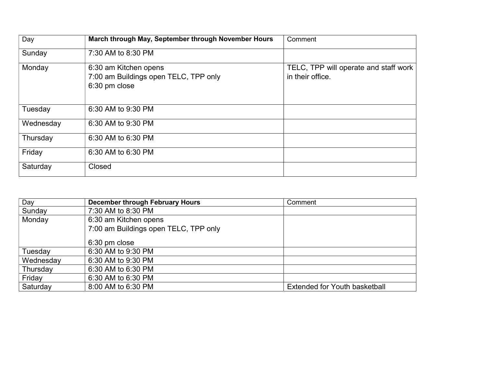| Day       | March through May, September through November Hours                             | Comment                                                   |
|-----------|---------------------------------------------------------------------------------|-----------------------------------------------------------|
| Sunday    | 7:30 AM to 8:30 PM                                                              |                                                           |
| Monday    | 6:30 am Kitchen opens<br>7:00 am Buildings open TELC, TPP only<br>6:30 pm close | TELC, TPP will operate and staff work<br>in their office. |
| Tuesday   | 6:30 AM to 9:30 PM                                                              |                                                           |
| Wednesday | 6:30 AM to 9:30 PM                                                              |                                                           |
| Thursday  | 6:30 AM to 6:30 PM                                                              |                                                           |
| Friday    | 6:30 AM to 6:30 PM                                                              |                                                           |
| Saturday  | Closed                                                                          |                                                           |

| Day       | December through February Hours       | Comment                       |
|-----------|---------------------------------------|-------------------------------|
| Sunday    | 7:30 AM to 8:30 PM                    |                               |
| Monday    | 6:30 am Kitchen opens                 |                               |
|           | 7:00 am Buildings open TELC, TPP only |                               |
|           | 6:30 pm close                         |                               |
| Tuesday   | 6:30 AM to 9:30 PM                    |                               |
| Wednesday | 6:30 AM to 9:30 PM                    |                               |
| Thursday  | 6:30 AM to 6:30 PM                    |                               |
| Friday    | 6:30 AM to 6:30 PM                    |                               |
| Saturday  | 8:00 AM to 6:30 PM                    | Extended for Youth basketball |